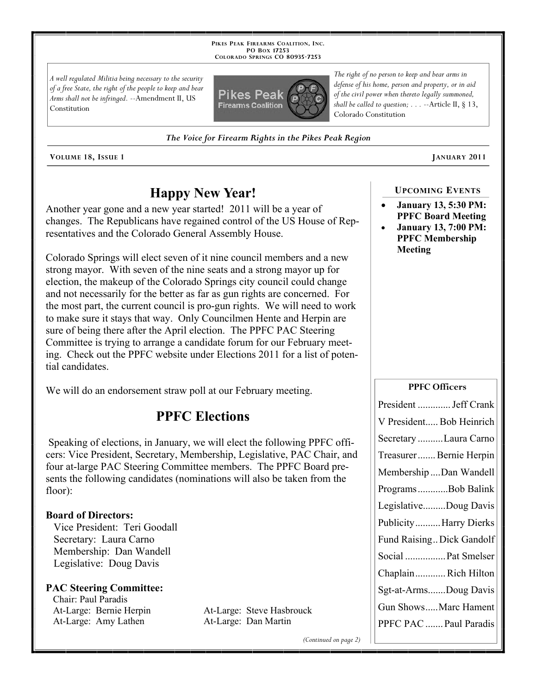**PIKES PEAK FIREARMS COALITION, INC. PO BOX 17253 COLORADO SPRINGS CO 80935 -7253**

*A well regulated Militia being necessary to the security of a free State, the right of the people to keep and bear Arms shall not be infringed.* --Amendment II, US Constitution



*The Voice for Firearm Rights in the Pikes Peak Region*

**VOLUME 18, ISSUE 1 JANUARY 2011**

# **Happy New Year!**

Another year gone and a new year started! 2011 will be a year of changes. The Republicans have regained control of the US House of Representatives and the Colorado General Assembly House.

Colorado Springs will elect seven of it nine council members and a new strong mayor. With seven of the nine seats and a strong mayor up for election, the makeup of the Colorado Springs city council could change and not necessarily for the better as far as gun rights are concerned. For the most part, the current council is pro-gun rights. We will need to work to make sure it stays that way. Only Councilmen Hente and Herpin are sure of being there after the April election. The PPFC PAC Steering Committee is trying to arrange a candidate forum for our February meeting. Check out the PPFC website under Elections 2011 for a list of potential candidates.

We will do an endorsement straw poll at our February meeting.

# **PPFC Elections**

Speaking of elections, in January, we will elect the following PPFC officers: Vice President, Secretary, Membership, Legislative, PAC Chair, and four at-large PAC Steering Committee members. The PPFC Board presents the following candidates (nominations will also be taken from the floor):

### **Board of Directors:**

 Vice President: Teri Goodall Secretary: Laura Carno Membership: Dan Wandell Legislative: Doug Davis

### **PAC Steering Committee:**

 Chair: Paul Paradis At-Large: Amy Lathen At-Large: Dan Martin

At-Large: Bernie Herpin At-Large: Steve Hasbrouck

*(Continued on page 2)*

### **January 13, 5:30 PM: PPFC Board Meeting**

**UPCOMING EVENTS**

 **January 13, 7:00 PM: PPFC Membership Meeting**

#### **PPFC Officers**

| President  Jeff Crank     |
|---------------------------|
| V President Bob Heinrich  |
| Secretary Laura Carno     |
| Treasurer Bernie Herpin   |
| Membership Dan Wandell    |
| ProgramsBob Balink        |
| LegislativeDoug Davis     |
| Publicity Harry Dierks    |
| Fund Raising Dick Gandolf |
| Social  Pat Smelser       |
| ChaplainRich Hilton       |
| Sgt-at-ArmsDoug Davis     |
| Gun ShowsMarc Hament      |
| PPFC PAC  Paul Paradis    |

Colorado Constitution

*The right of no person to keep and bear arms in defense of his home, person and property, or in aid*